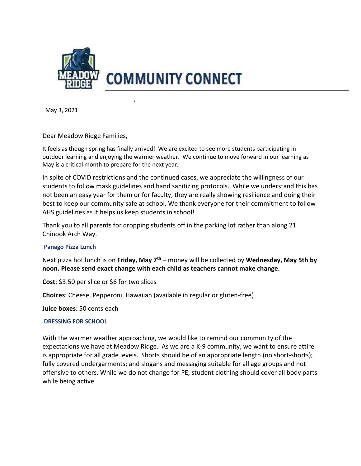

May 3, 2021

Dear Meadow Ridge Families,

It feels as though spring has finally arrived! We are excited to see more students participating in outdoor learning and enjoying the warmer weather. We continue to move forward in our learning as May is a critical month to prepare for the next year.

In spite of COVID restrictions and the continued cases, we appreciate the willingness of our students to follow mask guidelines and hand sanitizing protocols. While we understand this has not been an easy year for them or for faculty, they are really showing resilience and doing their best to keep our community safe at school. We thank everyone for their commitment to follow AHS guidelines as it helps us keep students in school!

Thank you to all parents for dropping students off in the parking lot rather than along 21 Chinook Arch Way.

# Panago Pizza Lunch

Next pizza hot lunch is on Friday, May  $7<sup>th</sup>$  – money will be collected by Wednesday, May 5th by noon. Please send exact change with each child as teachers cannot make change.

Cost: \$3.50 per slice or \$6 for two slices

Choices: Cheese, Pepperoni, Hawaiian (available in regular or gluten-free)

Juice boxes: 50 cents each

# DRESSING FOR SCHOOL

With the warmer weather approaching, we would like to remind our community of the expectations we have at Meadow Ridge. As we are a K-9 community, we want to ensure attire is appropriate for all grade levels. Shorts should be of an appropriate length (no short-shorts); fully covered undergarments; and slogans and messaging suitable for all age groups and not offensive to others. While we do not change for PE, student clothing should cover all body parts while being active.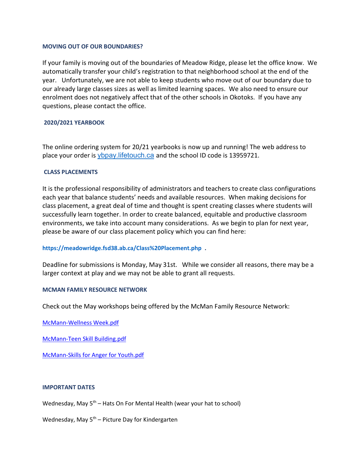### MOVING OUT OF OUR BOUNDARIES?

If your family is moving out of the boundaries of Meadow Ridge, please let the office know. We automatically transfer your child's registration to that neighborhood school at the end of the year. Unfortunately, we are not able to keep students who move out of our boundary due to our already large classes sizes as well as limited learning spaces. We also need to ensure our enrolment does not negatively affect that of the other schools in Okotoks. If you have any questions, please contact the office.

# 2020/2021 YEARBOOK

The online ordering system for 20/21 yearbooks is now up and running! The web address to place your order is ybpay.lifetouch.ca and the school ID code is 13959721.

### CLASS PLACEMENTS

It is the professional responsibility of administrators and teachers to create class configurations each year that balance students' needs and available resources. When making decisions for class placement, a great deal of time and thought is spent creating classes where students will successfully learn together. In order to create balanced, equitable and productive classroom environments, we take into account many considerations. As we begin to plan for next year, please be aware of our class placement policy which you can find here:

# https://meadowridge.fsd38.ab.ca/Class%20Placement.php .

Deadline for submissions is Monday, May 31st. While we consider all reasons, there may be a larger context at play and we may not be able to grant all requests.

### MCMAN FAMILY RESOURCE NETWORK

Check out the May workshops being offered by the McMan Family Resource Network:

McMann-Wellness Week.pdf

McMann-Teen Skill Building.pdf

McMann-Skills for Anger for Youth.pdf

### IMPORTANT DATES

Wednesday, May  $5<sup>th</sup>$  – Hats On For Mental Health (wear your hat to school)

Wednesday, May  $5<sup>th</sup>$  – Picture Day for Kindergarten